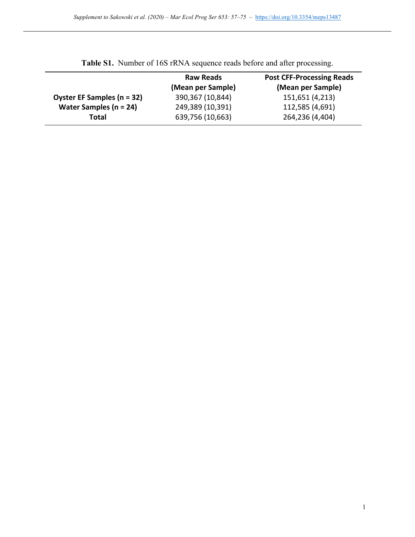|                            | <b>Raw Reads</b><br>(Mean per Sample) | <b>Post CFF-Processing Reads</b><br>(Mean per Sample) |
|----------------------------|---------------------------------------|-------------------------------------------------------|
| Oyster EF Samples (n = 32) | 390,367 (10,844)                      | 151,651 (4,213)                                       |
| Water Samples ( $n = 24$ ) | 249,389 (10,391)                      | 112,585 (4,691)                                       |
| Total                      | 639,756 (10,663)                      | 264,236 (4,404)                                       |

**Table S1.** Number of 16S rRNA sequence reads before and after processing.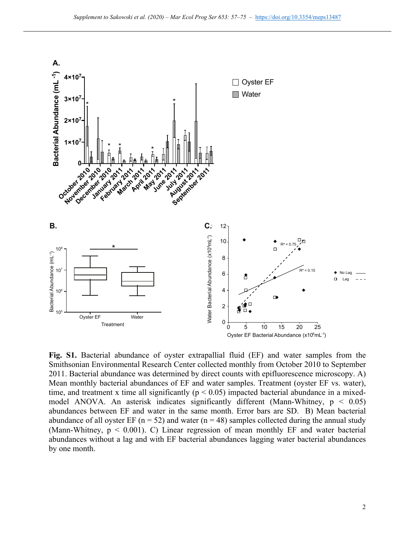

**Fig. S1.** Bacterial abundance of oyster extrapallial fluid (EF) and water samples from the Smithsonian Environmental Research Center collected monthly from October 2010 to September 2011. Bacterial abundance was determined by direct counts with epifluorescence microscopy. A) Mean monthly bacterial abundances of EF and water samples. Treatment (oyster EF vs. water), time, and treatment x time all significantly ( $p < 0.05$ ) impacted bacterial abundance in a mixedmodel ANOVA. An asterisk indicates significantly different (Mann-Whitney,  $p < 0.05$ ) abundances between EF and water in the same month. Error bars are SD. B) Mean bacterial abundance of all oyster EF ( $n = 52$ ) and water ( $n = 48$ ) samples collected during the annual study (Mann-Whitney,  $p < 0.001$ ). C) Linear regression of mean monthly EF and water bacterial abundances without a lag and with EF bacterial abundances lagging water bacterial abundances by one month.